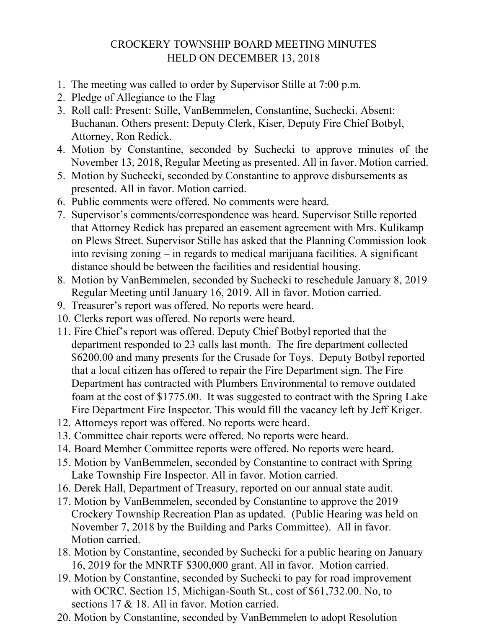## CROCKERY TOWNSHIP BOARD MEETING MINUTES HELD ON DECEMBER 13, 2018

- 1. The meeting was called to order by Supervisor Stille at 7:00 p.m.
- 2. Pledge of Allegiance to the Flag
- 3. Roll call: Present: Stille, VanBemmelen, Constantine, Suchecki. Absent: Buchanan. Others present: Deputy Clerk, Kiser, Deputy Fire Chief Botbyl, Attorney, Ron Redick.
- 4. Motion by Constantine, seconded by Suchecki to approve minutes of the November 13, 2018, Regular Meeting as presented. All in favor. Motion carried.
- 5. Motion by Suchecki, seconded by Constantine to approve disbursements as presented. All in favor. Motion carried.
- 6. Public comments were offered. No comments were heard.
- 7. Supervisor's comments/correspondence was heard. Supervisor Stille reported that Attorney Redick has prepared an easement agreement with Mrs. Kulikamp on Plews Street. Supervisor Stille has asked that the Planning Commission look into revising zoning – in regards to medical marijuana facilities. A significant distance should be between the facilities and residential housing.
- 8. Motion by VanBemmelen, seconded by Suchecki to reschedule January 8, 2019 Regular Meeting until January 16, 2019. All in favor. Motion carried.
- 9. Treasurer's report was offered. No reports were heard.
- 10. Clerks report was offered. No reports were heard.
- 11. Fire Chief's report was offered. Deputy Chief Botbyl reported that the department responded to 23 calls last month. The fire department collected \$6200.00 and many presents for the Crusade for Toys. Deputy Botbyl reported that a local citizen has offered to repair the Fire Department sign. The Fire Department has contracted with Plumbers Environmental to remove outdated foam at the cost of \$1775.00. It was suggested to contract with the Spring Lake Fire Department Fire Inspector. This would fill the vacancy left by Jeff Kriger.
- 12. Attorneys report was offered. No reports were heard.
- 13. Committee chair reports were offered. No reports were heard.
- 14. Board Member Committee reports were offered. No reports were heard.
- 15. Motion by VanBemmelen, seconded by Constantine to contract with Spring Lake Township Fire Inspector. All in favor. Motion carried.
- 16. Derek Hall, Department of Treasury, reported on our annual state audit.
- 17. Motion by VanBemmelen, seconded by Constantine to approve the 2019 Crockery Township Recreation Plan as updated. (Public Hearing was held on November 7, 2018 by the Building and Parks Committee). All in favor. Motion carried.
- 18. Motion by Constantine, seconded by Suchecki for a public hearing on January 16, 2019 for the MNRTF \$300,000 grant. All in favor. Motion carried.
- 19. Motion by Constantine, seconded by Suchecki to pay for road improvement with OCRC. Section 15, Michigan-South St., cost of \$61,732.00. No, to sections 17 & 18. All in favor. Motion carried.
- 20. Motion by Constantine, seconded by VanBemmelen to adopt Resolution